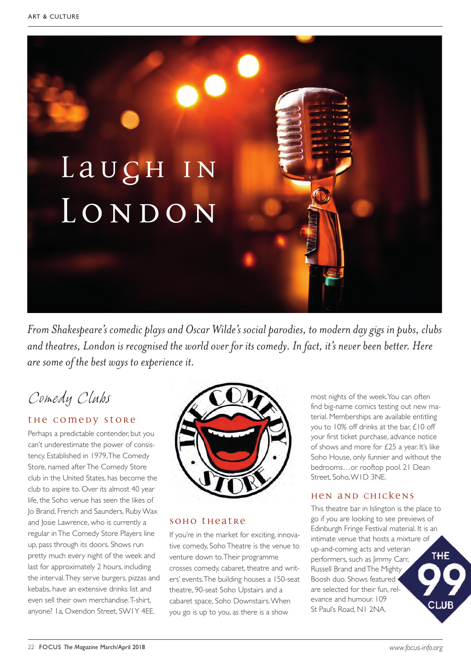

*From Shakespeare's comedic plays and Oscar Wilde's social parodies, to modern day gigs in pubs, clubs and theatres, London is recognised the world over for its comedy. In fact, it's never been better. Here are some of the best ways to experience it.* 

# *Comedy Clubs*

### the comedy store

Perhaps a predictable contender, but you can't underestimate the power of consistency. Established in 1979, The Comedy Store, named after The Comedy Store club in the United States, has become the club to aspire to. Over its almost 40 year life, the Soho venue has seen the likes of Jo Brand, French and Saunders, Ruby Wax and Josie Lawrence, who is currently a regular in The Comedy Store Players line up, pass through its doors. Shows run pretty much every night of the week and last for approximately 2 hours, including the interval. They serve burgers, pizzas and kebabs, have an extensive drinks list and even sell their own merchandise. T-shirt, anyone? 1a, Oxendon Street, SW1Y 4EE.



#### soho theatre

If you're in the market for exciting, innovative comedy, Soho Theatre is the venue to venture down to. Their programme crosses comedy, cabaret, theatre and writers' events. The building houses a 150-seat theatre, 90-seat Soho Upstairs and a cabaret space, Soho Downstairs. When you go is up to you, as there is a show

most nights of the week. You can often find big-name comics testing out new material. Memberships are available entitling you to 10% off drinks at the bar, £10 off your first ticket purchase, advance notice of shows and more for £25 a year. It's like Soho House, only funnier and without the bedrooms…or rooftop pool. 21 Dean Street, Soho, W1D 3NE.

#### Hen and Chickens

This theatre bar in Islington is the place to go if you are looking to see previews of Edinburgh Fringe Festival material. It is an intimate venue that hosts a mixture of up-and-coming acts and veteran THE performers, such as Jimmy Carr, Russell Brand and The Mighty Boosh duo. Shows featured are selected for their fun, relevance and humour. 109 St Paul's Road, N1 2NA.